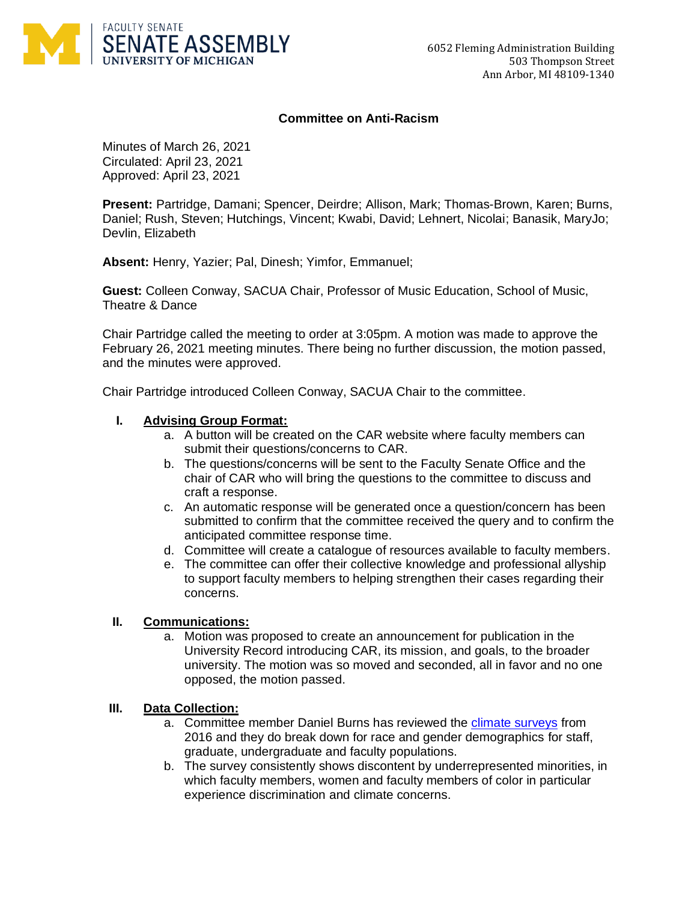

### **Committee on Anti-Racism**

Minutes of March 26, 2021 Circulated: April 23, 2021 Approved: April 23, 2021

**Present:** Partridge, Damani; Spencer, Deirdre; Allison, Mark; Thomas-Brown, Karen; Burns, Daniel; Rush, Steven; Hutchings, Vincent; Kwabi, David; Lehnert, Nicolai; Banasik, MaryJo; Devlin, Elizabeth

**Absent:** Henry, Yazier; Pal, Dinesh; Yimfor, Emmanuel;

**Guest:** Colleen Conway, SACUA Chair, Professor of Music Education, School of Music, Theatre & Dance

Chair Partridge called the meeting to order at 3:05pm. A motion was made to approve the February 26, 2021 meeting minutes. There being no further discussion, the motion passed, and the minutes were approved.

Chair Partridge introduced Colleen Conway, SACUA Chair to the committee.

### **I. Advising Group Format:**

- a. A button will be created on the CAR website where faculty members can submit their questions/concerns to CAR.
- b. The questions/concerns will be sent to the Faculty Senate Office and the chair of CAR who will bring the questions to the committee to discuss and craft a response.
- c. An automatic response will be generated once a question/concern has been submitted to confirm that the committee received the query and to confirm the anticipated committee response time.
- d. Committee will create a catalogue of resources available to faculty members.
- e. The committee can offer their collective knowledge and professional allyship to support faculty members to helping strengthen their cases regarding their concerns.

### **II. Communications:**

a. Motion was proposed to create an announcement for publication in the University Record introducing CAR, its mission, and goals, to the broader university. The motion was so moved and seconded, all in favor and no one opposed, the motion passed.

### **III. Data Collection:**

- a. Committee member Daniel Burns has reviewed the [climate surveys](https://diversity.umich.edu/data-reports/climate-survey/) from 2016 and they do break down for race and gender demographics for staff, graduate, undergraduate and faculty populations.
- b. The survey consistently shows discontent by underrepresented minorities, in which faculty members, women and faculty members of color in particular experience discrimination and climate concerns.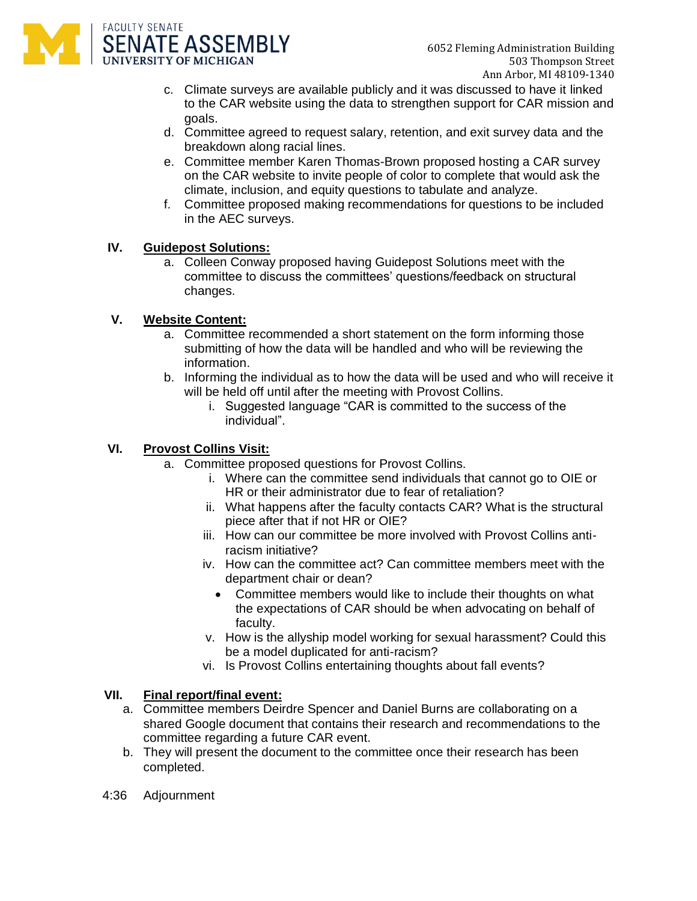

- c. Climate surveys are available publicly and it was discussed to have it linked to the CAR website using the data to strengthen support for CAR mission and goals.
- d. Committee agreed to request salary, retention, and exit survey data and the breakdown along racial lines.
- e. Committee member Karen Thomas-Brown proposed hosting a CAR survey on the CAR website to invite people of color to complete that would ask the climate, inclusion, and equity questions to tabulate and analyze.
- f. Committee proposed making recommendations for questions to be included in the AEC surveys.

# **IV. Guidepost Solutions:**

a. Colleen Conway proposed having Guidepost Solutions meet with the committee to discuss the committees' questions/feedback on structural changes.

### **V. Website Content:**

- a. Committee recommended a short statement on the form informing those submitting of how the data will be handled and who will be reviewing the information.
- b. Informing the individual as to how the data will be used and who will receive it will be held off until after the meeting with Provost Collins.
	- i. Suggested language "CAR is committed to the success of the individual".

# **VI. Provost Collins Visit:**

- a. Committee proposed questions for Provost Collins.
	- i. Where can the committee send individuals that cannot go to OIE or HR or their administrator due to fear of retaliation?
	- ii. What happens after the faculty contacts CAR? What is the structural piece after that if not HR or OIE?
	- iii. How can our committee be more involved with Provost Collins antiracism initiative?
	- iv. How can the committee act? Can committee members meet with the department chair or dean?
		- Committee members would like to include their thoughts on what the expectations of CAR should be when advocating on behalf of faculty.
	- v. How is the allyship model working for sexual harassment? Could this be a model duplicated for anti-racism?
	- vi. Is Provost Collins entertaining thoughts about fall events?

### **VII. Final report/final event:**

- a. Committee members Deirdre Spencer and Daniel Burns are collaborating on a shared Google document that contains their research and recommendations to the committee regarding a future CAR event.
- b. They will present the document to the committee once their research has been completed.
- 4:36 Adjournment